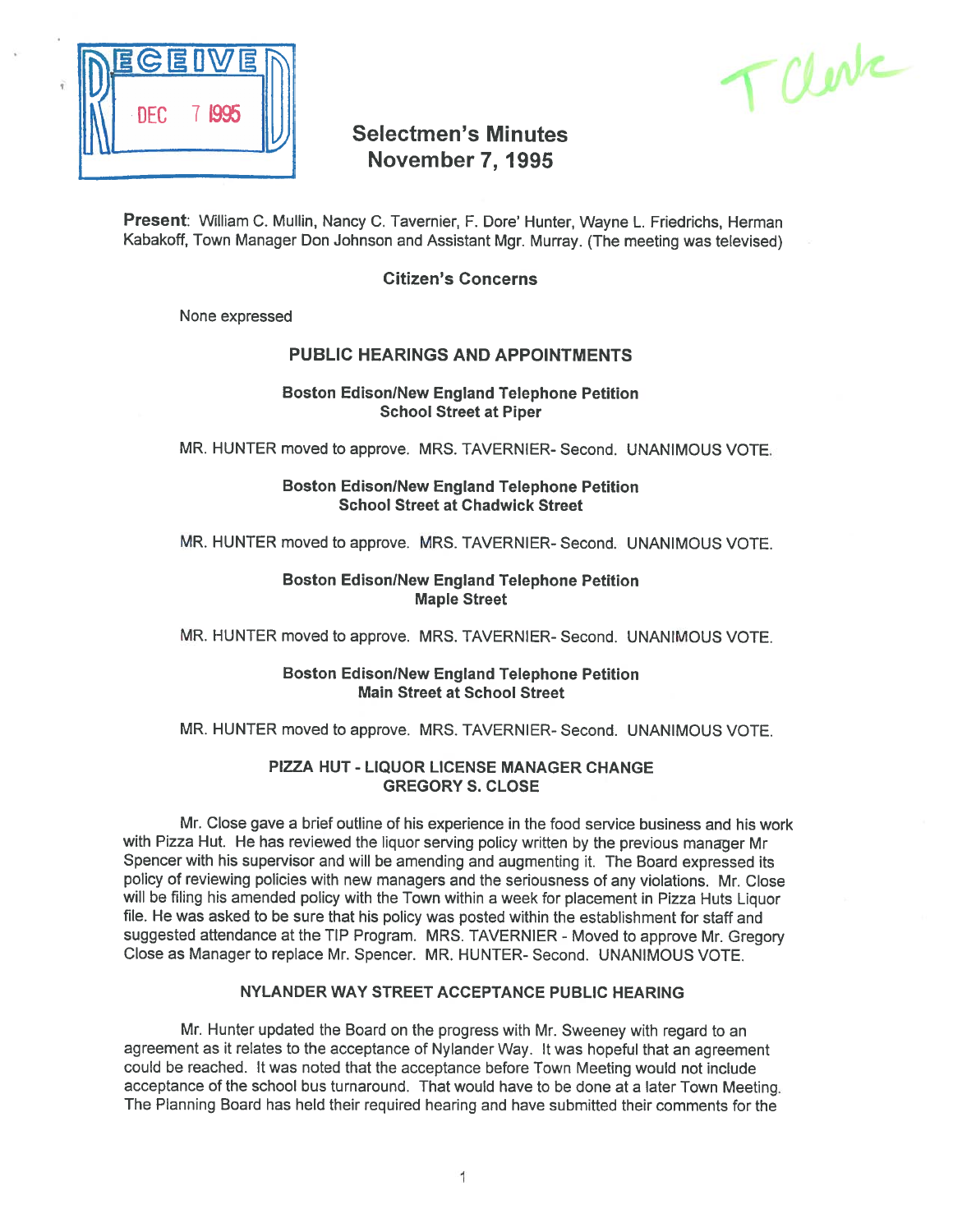

TCLerte

# Selectmen's Minutes November 7, 1995

Present: William C. Mullin, Nancy C. Tavernier, F. Dore' Hunter, Wayne L. Friedrichs, Herman Kabakoff, Town Manager Don Johnson and Assistant Mgr. Murray. (The meeting was televised)

# Citizen's Concerns

None expressed

# PUBLIC HEARINGS AND APPOINTMENTS

### **Boston Edison/New England Telephone Petition** School Street at Piper

MR. HUNTER moved to approve. MRS. TAVERNIER- Second. UNANIMOUS VOTE.

**Boston Edison/New England Telephone Petition** School Street at Chadwick Street

MR. HUNTER moved to approve. MRS. TAVERNIER- Second. UNANIMOUS VOTE.

### Boston Edison/New England Telephone Petition Maple Street

MR. HUNTER moved to approve. MRS. TAVERNIER- Second. UNANIMOUS VOTE.

### Boston Edison/New England Telephone Petition Main Street at School Street

MR. HUNTER moved to approve. MRS. TAVERNIER- Second. UNANIMOUS VOTE.

#### PIZZA HUT - LIQUOR LICENSE MANAGER CHANGE GREGORY S. CLOSE

Mr. Close gave <sup>a</sup> brief outline of his experience in the food service business and his work with Pizza Hut. He has reviewed the liquor serving policy written by the previous manager Mr Spencer with his supervisor and will be amending and augmenting it. The Board expresse<sup>d</sup> its policy of reviewing policies with new managers and the seriousness of any violations. Mr. Close will be filing his amended policy with the Town within <sup>a</sup> week for <sup>p</sup>lacement in Pizza Huts Liquor file. He was asked to be sure that his policy was posted within the establishment for staff and suggested attendance at the TIP Program. MRS. TAVERNIER - Moved to approve Mr. Gregory Close as Manager to replace Mr. Spencer. MR. HUNTER- Second. UNANIMOUS VOTE.

# NYLANDER WAY STREET ACCEPTANCE PUBLIC HEARING

Mr. Hunter updated the Board on the progress with Mr. Sweeney with regard to an agreemen<sup>t</sup> as it relates to the acceptance of Nylander Way. It was hopeful that an agreemen<sup>t</sup> could be reached. It was noted that the acceptance before Town Meeting would not include acceptance of the school bus turnaround. That would have to be done at <sup>a</sup> later Town Meeting. The Planning Board has held their required hearing and have submitted their comments for the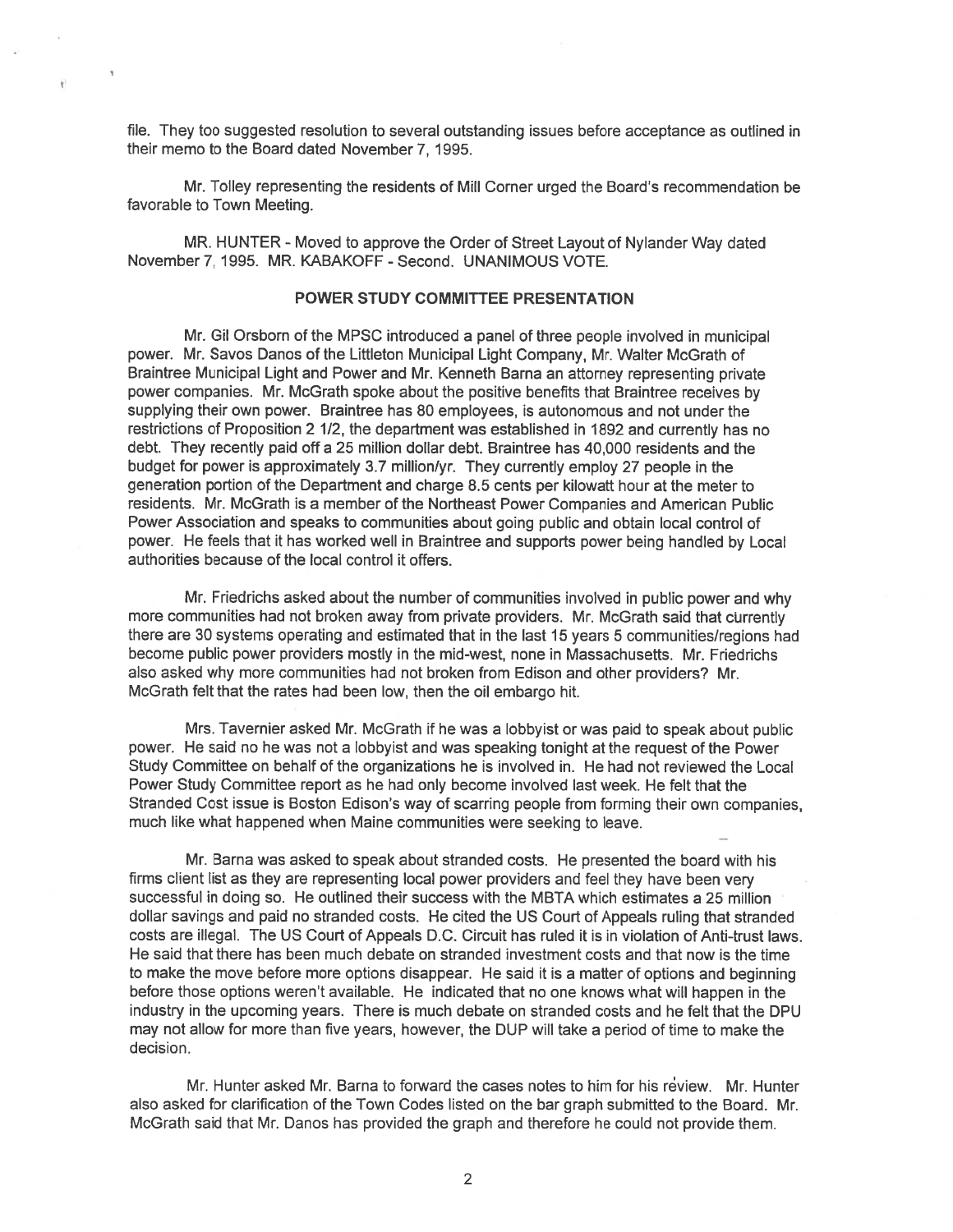file. They too suggested resolution to several outstanding issues before acceptance as outlined in their memo to the Board dated November 7, 1995.

 $\tilde{\mathbf{y}}$ 

Mr. Tolley representing the residents of Mill Corner urged the Board's recommendation be favorable to Town Meeting.

MR. HUNTER - Moved to approve the Order of Street Layout of Nylander Way dated November 7, 1995. MR. KABAKOFF-Second. UNANIMOUS VOTE.

#### POWER STUDY COMMITTEE PRESENTATION

Mr. Gil Orsborn of the MPSC introduced <sup>a</sup> panel of three people involved in municipal power. Mr. Savos Danos of the Littleton Municipal Light Company, Mr. Walter McGrath of Braintree Municipal Light and Power and Mr. Kenneth Barna an attorney representing private power companies. Mr. McGrath spoke about the positive benefits that Braintree receives by supplying their own power. Braintree has 80 employees, is autonomous and not under the restrictions of Proposition <sup>2</sup> 1/2, the department was established in 1892 and currently has no debt. They recently paid off <sup>a</sup> 25 million dollar debt. Braintree has 40,000 residents and the budget for power is approximately 3.7 million/yr. They currently employ <sup>27</sup> people in the generation portion of the Department and charge 8.5 cents per kilowatt hour at the meter to residents. Mr. McGrath is <sup>a</sup> member of the Northeast Power Companies and American Public Power Association and speaks to communities about going public and obtain local control of power. He feels that it has worked well in Braintree and supports power being handled by Local authorities because of the local control it offers.

Mr. Friedrichs asked about the number of communities involved in public power and why more communities had not broken away from private providers. Mr. McGrath said that currently there are 30 systems operating and estimated that in the last 15 years 5 communities/regions had become public power providers mostly in the mid-west, none in Massachusetts. Mr. Friedtichs also asked why more communities had not broken from Edison and other providers? Mr. McGrath felt that the rates had been low, then the oil embargo hit.

Mrs. Tavernier asked Mr. McGrath if he was <sup>a</sup> lobbyist or was paid to spea<sup>k</sup> about public power. He said no he was not <sup>a</sup> lobbyist and was speaking tonight at the reques<sup>t</sup> of the Power Study Committee on behalf of the organizations he is involved in. He had not reviewed the Local Power Study Committee repor<sup>t</sup> as he had only become involved last week. He felt that the Stranded Cost issue is Boston Edison's way of scarring people from forming their own companies, much like what happened when Maine communities were seeking to leave.

Mr. Barna was asked to speak about stranded costs. He presented the board with his firms client list as they are representing local power providers and feel they have been very successful in doing so. He outlined their success with the MBTA which estimates <sup>a</sup> 25 million dollar savings and paid no stranded costs. He cited the US Court of Appeals ruling that stranded costs are illegal. The US Court of Appeals D.C. Circuit has ruled it is in violation of Anti-trust laws. He said that there has been much debate on stranded investment costs and that now is the time to make the move before more options disappear. He said it is <sup>a</sup> matter of options and beginning before those options weren't available. He indicated that no one knows what will happen in the industry in the upcoming years. There is much debate on stranded costs and he felt that the DPU may not allow for more than five years, however, the DUP will take <sup>a</sup> period of time to make the decision.

Mr. Hunter asked Mr. Barna to forward the cases notes to him for his review. Mr. Hunter also asked for clarification of the Town Codes listed on the bar graph submitted to the Board. Mr. McGrath said that Mr. Danos has provided the graph and therefore he could not provide them.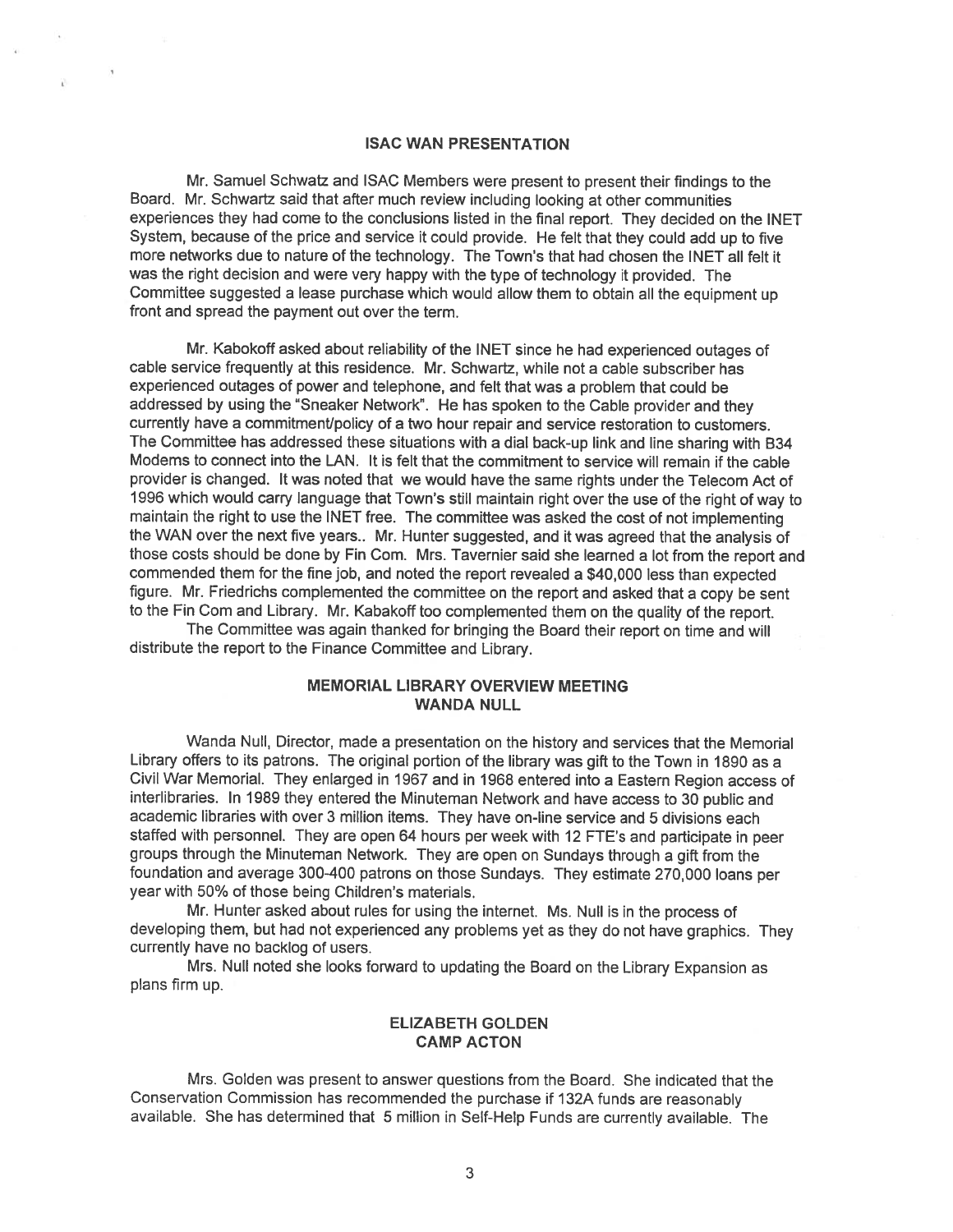#### ISAC WAN PRESENTATION

Mr. Samuel Schwatz and ISAC Members were presen<sup>t</sup> to presen<sup>t</sup> their findings to the Board. Mr. Schwartz said that after much review including looking at other communities experiences they had come to the conclusions listed in the final report. They decided on the INET System, because of the price and service it could provide. He felt that they could add up to five more networks due to nature of the technology. The Town's that had chosen the INET all felt it was the right decision and were very happy with the type of technology it provided. The Committee suggested <sup>a</sup> lease purchase which would allow them to obtain all the equipment up front and spread the paymen<sup>t</sup> out over the term.

Mr. Kabokoff asked about reliability of the INET since he had experienced outages of cable service frequently at this residence. Mr. Schwartz, while not <sup>a</sup> cable subscriber has experienced outages of power and telephone, and felt that was <sup>a</sup> problem that could be addressed by using the "Sneaker Network". He has spoken to the Cable provider and they currently have <sup>a</sup> commitment/policy of <sup>a</sup> two hour repair and service restoration to customers. The Committee has addressed these situations with <sup>a</sup> dial back-up link and line sharing with B34 Modems to connect into the LAN. It is felt that the commitment to service will remain if the cable provider is changed. It was noted that we would have the same rights under the Telecom Act of <sup>1996</sup> which would carry language that Town's still maintain right over the use of the right of way to maintain the right to use the INET free. The committee was asked the cost of not implementing the WAN over the next five years.. Mr. Hunter suggested, and it was agree<sup>d</sup> that the analysis of those costs should be done by Fin Com. Mrs. Tavernier said she learned a lot from the report and commended them for the fine job, and noted the repor<sup>t</sup> revealed <sup>a</sup> \$40,000 less than expected figure. Mr. Friedrichs complemented the committee on the repor<sup>t</sup> and asked that <sup>a</sup> copy be sent to the Fin Com and Library. Mr. Kabakoff too complemented them on the quality of the report.

The Committee was again thanked for bringing the Board their repor<sup>t</sup> on time and will distribute the repor<sup>t</sup> to the Finance Committee and Library.

# MEMORIAL LIBRARY OVERVIEW MEETING WANDA NULL

Wanda Null, Director, made <sup>a</sup> presentation on the history and services that the Memorial Library offers to its patrons. The original portion of the library was <sup>g</sup>ift to the Town in <sup>1890</sup> as <sup>a</sup> Civil War Memorial. They enlarged in <sup>1967</sup> and in <sup>1968</sup> entered into <sup>a</sup> Eastern Region access of interlibraries. In <sup>1989</sup> they entered the Minuteman Network and have access to <sup>30</sup> public and academic libraries with over 3 million items. They have on-line service and 5 divisions each staffed with personnel. They are open <sup>64</sup> hours per week with <sup>12</sup> FTE's and participate in peer groups through the Minuteman Network. They are open on Sundays through <sup>a</sup> <sup>g</sup>ift from the foundation and average 300-400 patrons on those Sundays. They estimate 270,000 loans per year with 50% of those being Children's materials.

Mr. Hunter asked about rules for using the internet. Ms. Null is in the process of developing them, but had not experienced any problems ye<sup>t</sup> as they do not have graphics. They currently have no backlog of users.

Mrs. Null noted she looks forward to updating the Board on the Library Expansion as plans firm up.

# ELIZABETH GOLDEN CAMP ACTON

Mrs. Golden was presen<sup>t</sup> to answer questions from the Board. She indicated that the Conservation Commission has recommended the purchase if 132A funds are reasonably available. She has determined that <sup>5</sup> million in Self-Help Funds are currently available. The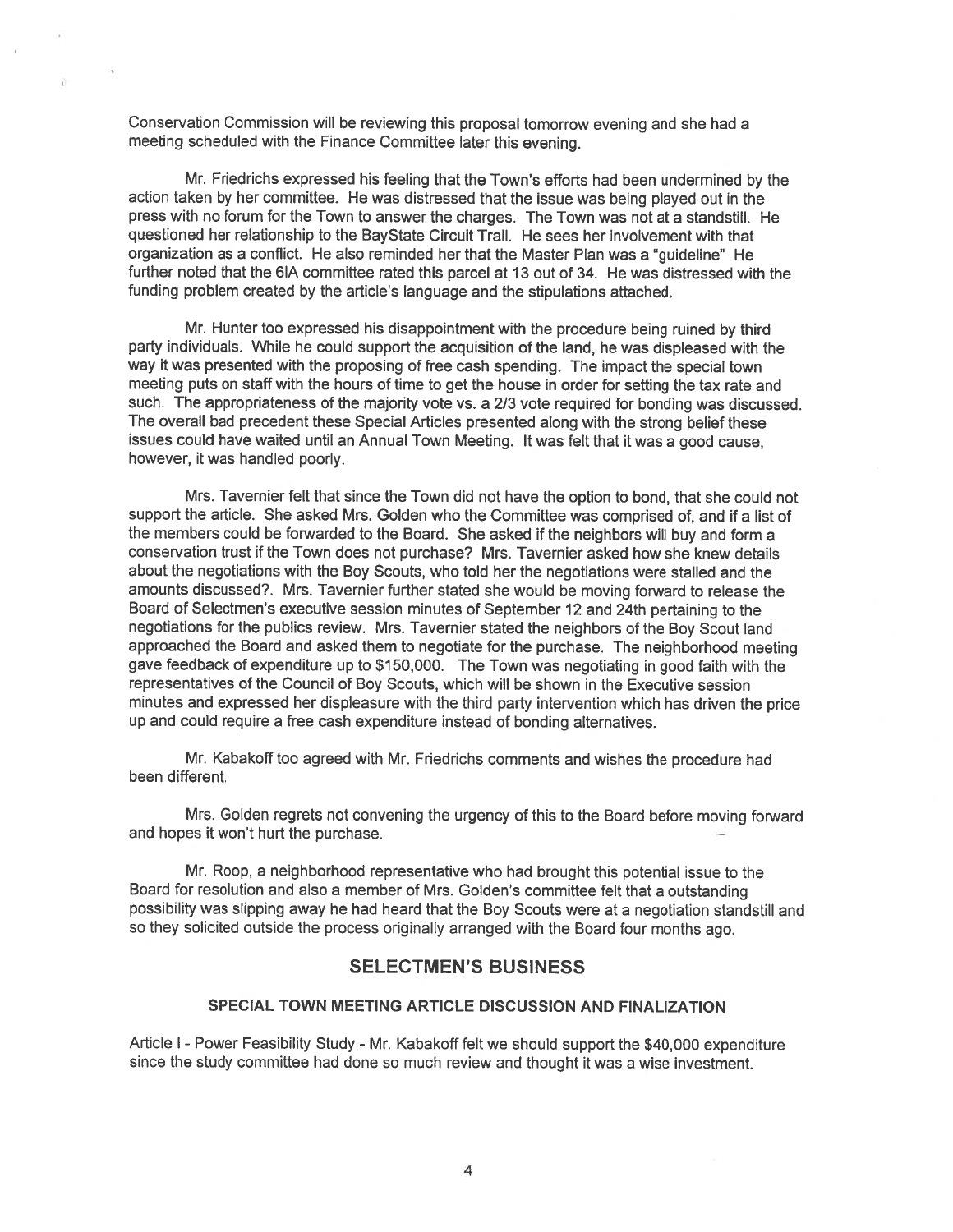Conservation Commission will be reviewing this proposa<sup>l</sup> tomorrow evening and she had <sup>a</sup> meeting scheduled with the Finance Committee later this evening.

Mc. Friedrichs expresse<sup>d</sup> his feeling that the Town's efforts had been undermined by the action taken by her committee. He was distressed that the issue was being <sup>p</sup>layed out in the press with no forum for the Town to answer the charges. The Town was not at <sup>a</sup> standstill. He questioned her relationship to the BayState Circuit Trail. He sees her involvement with that organization as <sup>a</sup> conflict. He also reminded her that the Master Plan was <sup>a</sup> "guideline" He further noted that the 61A committee rated this parce<sup>l</sup> at 13 out of 34. He was distressed with the funding problem created by the article's language and the stipulations attached.

Mr. Hunter too expresse<sup>d</sup> his disappointment with the procedure being ruined by third party individuals. While he could suppor<sup>t</sup> the acquisition of the land, he was displeased with the way it was presented with the proposing of free cash spending. The impact the special town meeting puts on staff with the hours of time to ge<sup>t</sup> the house in order for setting the tax rate and such. The appropriateness of the majority vote vs. <sup>a</sup> 2/3 vote required for bonding was discussed. The overall bad precedent these Special Articles presented along with the strong belief these issues could have waited until an Annual Town Meeting. It was felt that it was <sup>a</sup> goo<sup>d</sup> cause, however, it was handled poorly.

Mrs. Tavernier felt that since the Town did not have the option to bond, that she could not suppor<sup>t</sup> the article. She asked Mrs. Golden who the Committee was comprised of, and if <sup>a</sup> list of the members could be forwarded to the Board. She asked if the neighbors will buy and form <sup>a</sup> conservation trust if the Town does not purchase? Mrs. Tavernier asked how she knew details about the negotiations with the Boy Scouts, who told her the negotiations were stalled and the amounts discussed?. Mrs. Tavernier further stated she would be moving forward to release the Board of Selectmen's executive session minutes of September <sup>12</sup> and 24th pertaining to the negotiations for the publics review. Mrs. Tavernier stated the neighbors of the Boy Scout land approached the Board and asked them to negotiate for the purchase. The neighborhood meeting gave feedback of expenditure up to \$150,000. The Town was negotiating in goo<sup>d</sup> faith with the representatives of the Council of Boy Scouts, which will be shown in the Executive session minutes and expresse<sup>d</sup> her displeasure with the third party intervention which has driven the price up and could requite <sup>a</sup> free cash expenditure instead of bonding alternatives.

Mr. Kabakoff too agteed with Mr. Friedrichs comments and wishes the procedure had been different.

Mrs. Golden regrets not convening the urgency of this to the Board before moving forward and hopes it won't hurt the purchase.

Mr. Roop, <sup>a</sup> neighborhood representative who had brought this potential issue to the Board for resolution and also <sup>a</sup> member of Mrs. Golden's committee felt that <sup>a</sup> outstanding possibility was slipping away he had heard that the Boy Scouts were at <sup>a</sup> negotiation standstill and so they solicited outside the process originally arrange<sup>d</sup> with the Board four months ago.

# SELECTMEN'S BUSINESS

# SPECIAL TOWN MEETING ARTICLE DISCUSSION AND FINALIZATION

Article <sup>I</sup> -Power Feasibility Study - Mr. Kabakoff felt we should suppor<sup>t</sup> the \$40,000 expenditure since the study committee had done so much review and thought it was <sup>a</sup> wise investment.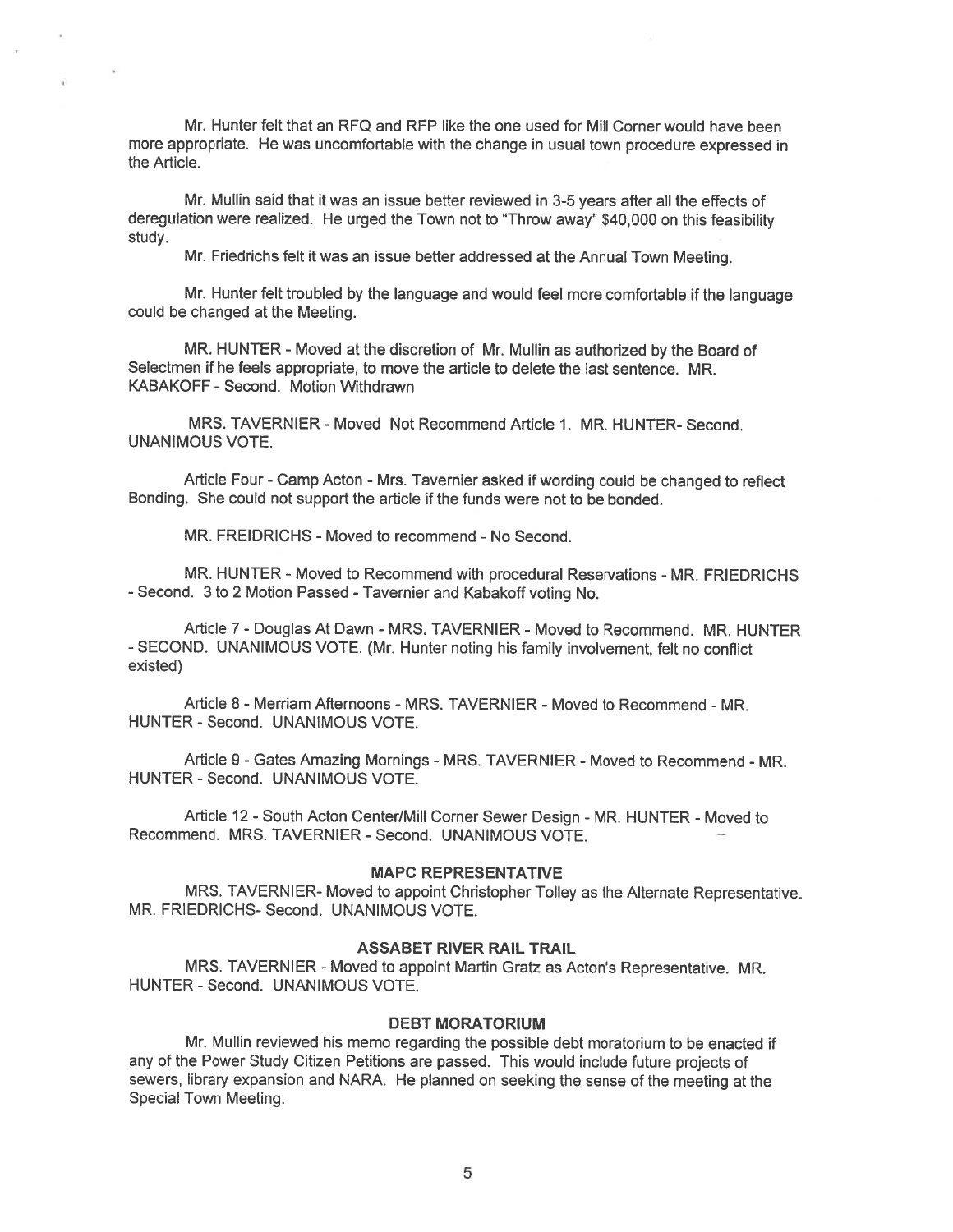Mr. Hunter felt that an RFQ and RFP like the one used for Mill Corner would have been mote appropriate. He was uncomfortable with the change in usual town procedure expresse<sup>d</sup> in the Article.

Mr. Mullin said that it was an issue better reviewed in 3-5 years after all the effects of deregulation were realized. He urge<sup>d</sup> the Town not to "Throw away" \$40,000 on this feasibility study.

Mr. Friedrichs felt it was an issue better addressed at the Annual Town Meeting.

Mr. Hunter felt troubled by the language and would feel more comfortable if the language could be changed at the Meeting.

MR. HUNTER - Moved at the discretion of Mr. Mullin as authorized by the Board of Selectmen if he feels appropriate, to move the article to delete the last sentence. MR. KABAKOFF -Second. Motion Withdrawn

MRS. TAVERNIER -Moved Not Recommend Article 1. MR. HUNTER- Second. UNANIMOUS VOTE.

Article Four -Camp Acton - Mrs. Tavernier asked if wording could be changed to reflect Bonding. She could not suppor<sup>t</sup> the article if the funds were not to be bonded.

MR. FREIDRICHS - Moved to recommend - No Second.

MR. HUNTER - Moved to Recommend with procedural Reservations - MR. FRIEDRICHS -Second. 3 to <sup>2</sup> Motion Passed -Tavernier and Kabakoff voting No.

Article 7- Douglas At Dawn -MRS. TAVERNIER -Moved to Recommend. MR. HUNTER -SECOND. UNANIMOUS VOTE. (Mr. Hunter noting his family involvement, felt no conflict existed)

Article 8 - Merriam Afternoons - MRS. TAVERNIER - Moved to Recommend - MR. HUNTER - Second. UNANIMOUS VOTE.

Article 9 - Gates Amazing Mornings - MRS. TAVERNIER - Moved to Recommend - MR. HUNTER - Second. UNANIMOUS VOTE.

Article 12 -South Acton Center/Mill Cornet Sewer Design - MR. HUNTER - Moved to Recommend. MRS. TAVERNIER - Second. UNANIMOUS VOTE.

### MAPC REPRESENTATIVE

MRS. TAVERNIER- Moved to appoint Christopher Tolley as the Alternate Representative. MR. FRIEDRICHS- Second. UNANIMOUS VOTE.

### ASSABET RIVER RAIL TRAIL

MRS. TAVERNIER -Moved to appoint Martin Gratz as Acton's Representative. MR. HUNTER - Second. UNANIMOUS VOTE.

#### DEBT MORATORIUM

Mr. Mullin reviewed his memo regarding the possible debt moratorium to be enacted if any of the Power Study Citizen Petitions are passed. This would include future projects of sewers, library expansion and NARA. He <sup>p</sup>lanned on seeking the sense of the meeting at the Special Town Meeting.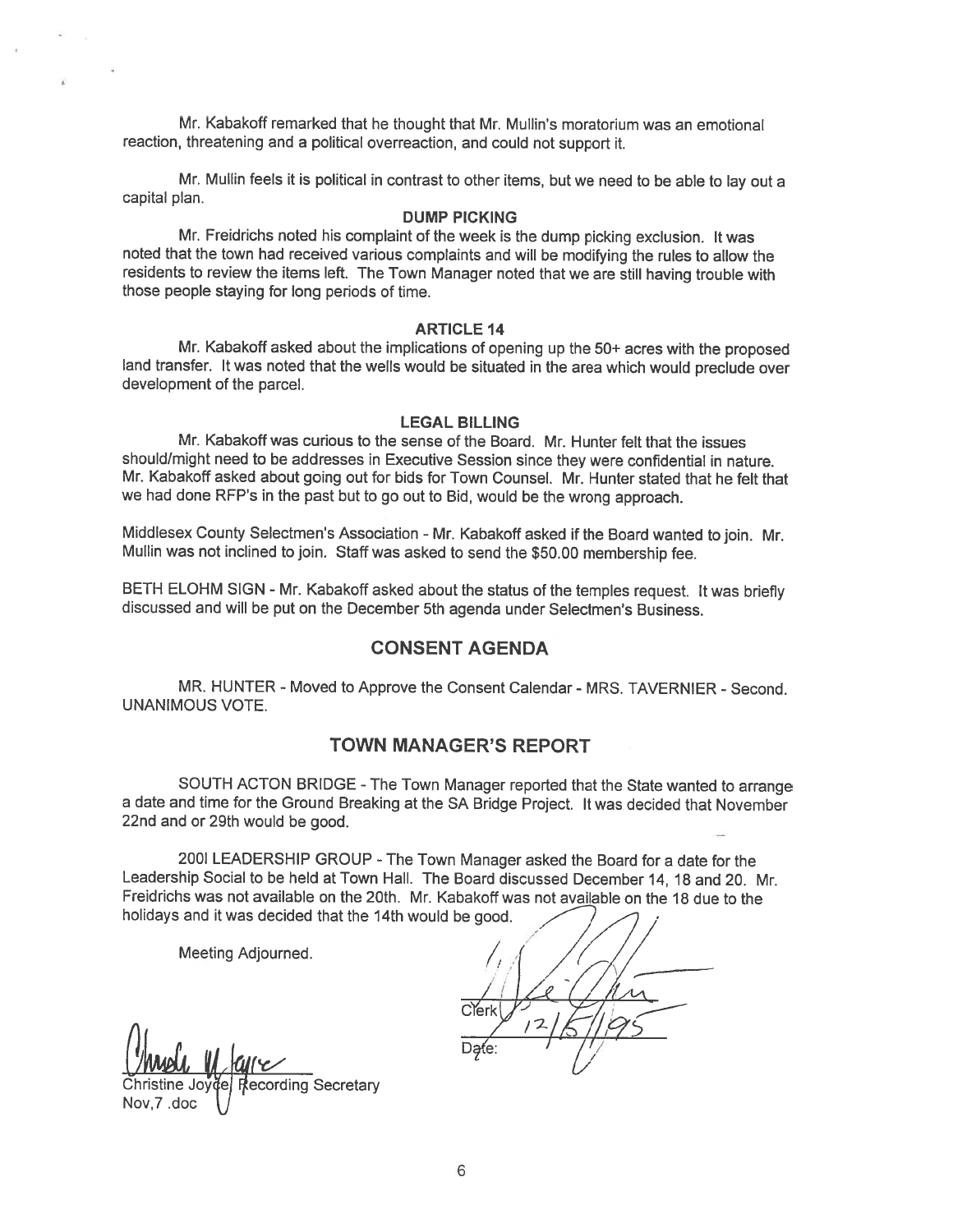Mr. Kabakoff remarked that he thought that Mr. Mullin's moratorium was an emotional reaction, threatening and <sup>a</sup> political overreaction, and could not suppor<sup>t</sup> it.

Mr. Mullin feels it is political in contrast to other items, but we need to be able to lay out <sup>a</sup> capital plan.

#### DUMP PICKING

Mr. Freidrichs noted his complaint of the week is the dump <sup>p</sup>icking exclusion. It was noted that the town had received various complaints and will be modifying the rules to allow the residents to review the items left. The Town Manager noted that we are still having trouble with those people staying for long periods of time.

#### ARTICLE 14

Mr. Kabakoff asked about the implications of opening up the 50+ acres with the propose<sup>d</sup> land transfer. It was noted that the wells would be situated in the area which would preclude over development of the parcel.

#### LEGAL BILLING

Mr. Kabakoff was curious to the sense of the Board. Mr. Hunter felt that the issues should/might need to be addresses in Executive Session since they were confidential in nature. Mr. Kabakoff asked about going out for bids for Town Counsel. Mr. Hunter stated that he felt that we had done REP's in the pas<sup>t</sup> but to go out to Bid, would be the wrong approach.

Middlesex County Selectmen's Association - Mr. Kabakoff asked if the Board wanted to join. Mr. Mullin was not inclined to join. Staff was asked to send the \$50.00 membership fee.

BETH ELOHM SIGN - Mr. Kabakoff asked about the status of the temples request. It was briefly discussed and will be pu<sup>t</sup> on the December 5th agenda under Selectmen's Business.

# CONSENT AGENDA

MR. HUNTER - Moved to Approve the Consent Calendar - MRS. TAVERNIER - Second. UNANIMOUS VOTE.

# TOWN MANAGER'S REPORT

SOUTH ACTON BRIDGE -The Town Manager reported that the State wanted to arrange <sup>a</sup> date and time for the Ground Breaking at the SA Bridge Project. It was decided that November 22nd and or 29th would be good.

2001 LEADERSHIP GROUP -The Town Manager asked the Board for <sup>a</sup> date for the Leadership Social to be held at Town Hall. The Board discussed December 14, 18 and 20. Mr. Freidrichs was not available on the 20th. Mr. Kabakoff was not available on the 18 due to the holidays and it was decided that the 14th would be good.

Meeting Adjourned.

 $Q$  Date:  $Q$ 

ecording Secretary Nov,7 .doc  $\;\;\bigvee\;$ 

// /I It  $/$   $/$   $/$   $/$  $C$ erk $V$ ,  $V$ ,  $V$  $\overline{1}$ //i%5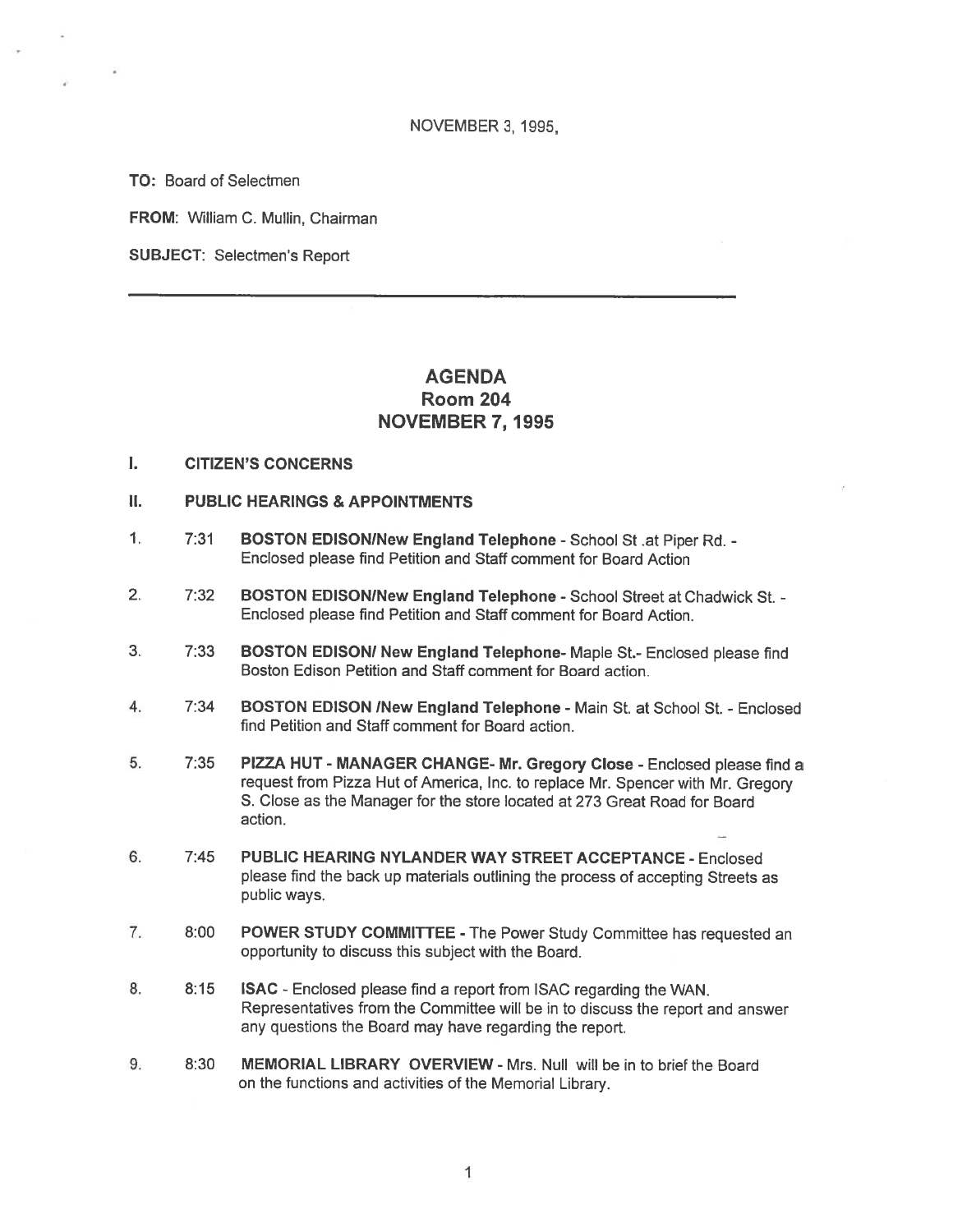#### NOVEMBER 3, 1995,

TO: Board of Selectmen

FROM: William C. Mullin, Chairman

SUBJECT: Selectmen's Report

# **AGENDA** Room 204 NOVEMBER 7, 1995

- I. CITIZEN'S CONCERNS
- II. PUBLIC HEARINGS & APPOINTMENTS
- 1. 7:31 BOSTON EDISON/New England Telephone School St. at Piper Rd. -Enclosed please find Petition and Staff comment for Board Action
- 2. 7:32 BOSTON EDISON/New England Telephone School Street at Chadwick St. -Enclosed please find Petition and Staff comment for Board Action.
- 3. 7:33 BOSTON EDISON! New England Telephone- Maple St.- Enclosed <sup>p</sup>lease find Boston Edison Petition and Staff comment for Board action.
- 4. 7:34 BOSTON EDISON INew England Telephone Main St. at School St. -Enclosed find Petition and Staff comment for Board action.
- 5. 7:35 PIZZA HUT MANAGER CHANGE- Mr. Gregory Close Enclosed <sup>p</sup>lease find <sup>a</sup> reques<sup>t</sup> from Pizza Hut of America, Inc. to replace Mr. Spencer with Mr. Gregory S. Close as the Manager for the store located at 273 Great Road for Board action.
- 6. 7:45 PUBLIC HEARING NYLANDER WAY STREET ACCEPTANCE Enclosed <sup>p</sup>lease find the back up materials outlining the process of accepting Streets as public ways.
- 7. 8:00 POWER STUDY COMMITTEE The Power Study Committee has requested an opportunity to discuss this subject with the Board.
- 8. 8:15 ISAC -Enclosed <sup>p</sup>lease find <sup>a</sup> repor<sup>t</sup> from ISAC regarding the WAN. Representatives from the Committee will be in to discuss the repor<sup>t</sup> and answer any questions the Board may have regarding the report.
- 9. 8:30 MEMORIAL LIBRARY OVERVIEW Mrs. Null will be in to brief the Board on the functions and activities of the Memorial Library.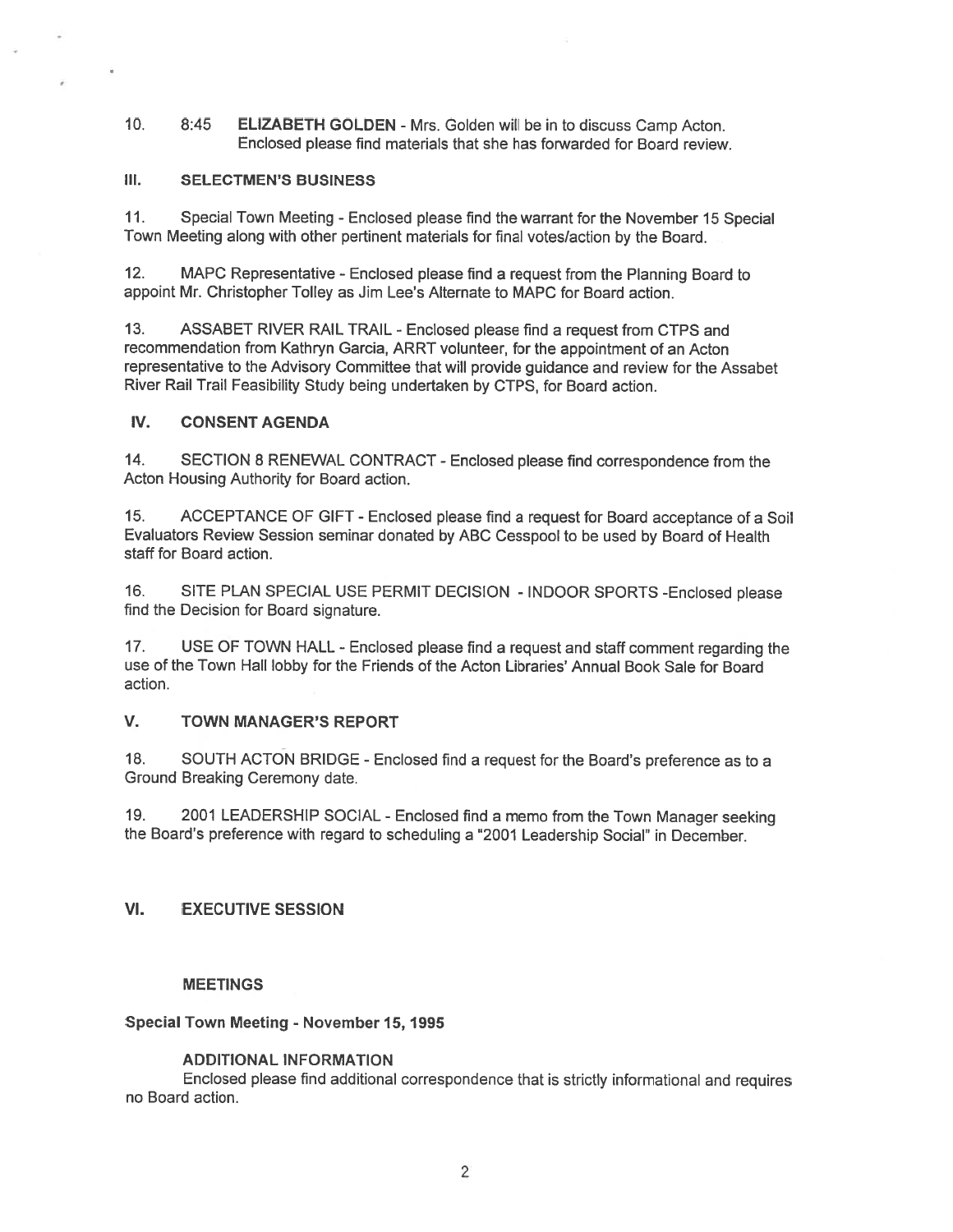10. 8:45 ELIZABETH GOLDEN - Mrs. Golden will be in to discuss Camp Acton. Enclosed please find materials that she has forwarded for Board review.

# III. SELECTMEN'S BUSINESS

11. Special Town Meeting -Enclosed <sup>p</sup>lease find the warrant for the November <sup>15</sup> Special Town Meeting along with other pertinent materials for final votes/action by the Board.

12. MAPC Representative -Enclosed <sup>p</sup>lease find <sup>a</sup> reques<sup>t</sup> from the Planning Board to appoint Mr. Christopher Tolley as Jim Lee's Alternate to MAPC for Board action.

13. ASSABET RIVER RAIL TRAIL -Enclosed <sup>p</sup>lease find <sup>a</sup> reques<sup>t</sup> from CTPS and recommendation from Kathryn Garcia, ARRT volunteer, for the appointment of an Acton representative to the Advisory Committee that will provide guidance and review for the Assabet River Rail Trail Feasibility Study being undertaken by CTPS, for Board action.

# IV. CONSENT AGENDA

14. SECTION 8 RENEWAL CONTRACT -Enclosed <sup>p</sup>lease find correspondence from the Acton Housing Authority for Board action.

15. ACCEPTANCE OF GIFT -Enclosed <sup>p</sup>lease find <sup>a</sup> reques<sup>t</sup> for Board acceptance of <sup>a</sup> Soil Evaluators Review Session seminar donated by ABC Cesspool to be used by Board of Health staff for Board action.

16. SITE PLAN SPECIAL USE PERMIT DECISION - INDOOR SPORTS -Enclosed <sup>p</sup>lease find the Decision for Board signature.

17. USE OF TOWN HALL -Enclosed <sup>p</sup>lease find <sup>a</sup> reques<sup>t</sup> and staff comment regarding the use of the Town HaIl lobby for the Friends of the Acton Libraries' Annual Book Sale for Board action.

# V. TOWN MANAGER'S REPORT

18. SOUTH ACTON BRIDGE - Enclosed find a request for the Board's preference as to a Ground Breaking Ceremony date.

19. <sup>2001</sup> LEADERSHIP SOCIAL -Enclosed find <sup>a</sup> memo from the Town Manager seeking the Board's preference with regard to scheduling <sup>a</sup> "2001 Leadership Social" in December.

# VI. EXECUTIVE SESSION

# MEETINGS

# Special Town Meeting - November 15, 1995

# ADDITIONAL INFORMATION

Enclosed <sup>p</sup>lease find additional correspondence that is strictly informational and requires no Board action.